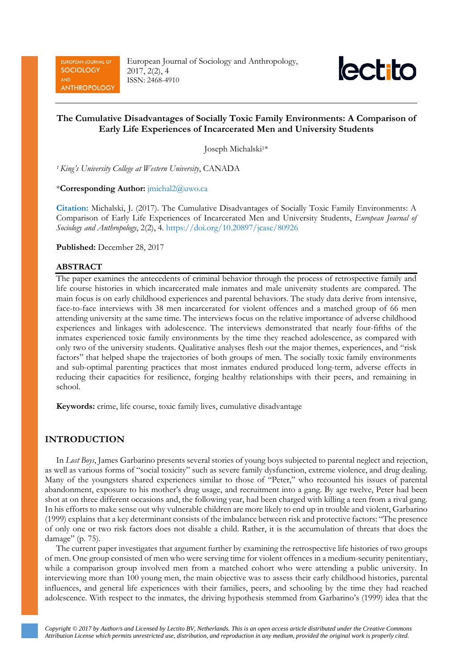EUROPEAN JOURNAL OF **SOCIOLOGY** AKID **ANTHROPOLOGY**  European Journal of Sociology and Anthropology, 2017, 2(2), 4 ISSN: 2468-4910



# **The Cumulative Disadvantages of Socially Toxic Family Environments: A Comparison of Early Life Experiences of Incarcerated Men and University Students**

Joseph Michalski1\*

*<sup>1</sup> King's University College at Western University*, CANADA

\***Corresponding Author:** [jmichal2@uwo.ca](mailto:jmichal2@uwo.ca)

**Citation:** Michalski, J. (2017). The Cumulative Disadvantages of Socially Toxic Family Environments: A Comparison of Early Life Experiences of Incarcerated Men and University Students, *European Journal of Sociology and Anthropology*, 2(2), 4. <https://doi.org/10.20897/jcasc/80926>

**Published:** December 28, 2017

## **ABSTRACT**

The paper examines the antecedents of criminal behavior through the process of retrospective family and life course histories in which incarcerated male inmates and male university students are compared. The main focus is on early childhood experiences and parental behaviors. The study data derive from intensive, face-to-face interviews with 38 men incarcerated for violent offences and a matched group of 66 men attending university at the same time. The interviews focus on the relative importance of adverse childhood experiences and linkages with adolescence. The interviews demonstrated that nearly four-fifths of the inmates experienced toxic family environments by the time they reached adolescence, as compared with only two of the university students. Qualitative analyses flesh out the major themes, experiences, and "risk factors" that helped shape the trajectories of both groups of men. The socially toxic family environments and sub-optimal parenting practices that most inmates endured produced long-term, adverse effects in reducing their capacities for resilience, forging healthy relationships with their peers, and remaining in school.

**Keywords:** crime, life course, toxic family lives, cumulative disadvantage

## **INTRODUCTION**

In *Lost Boys*, James Garbarino presents several stories of young boys subjected to parental neglect and rejection, as well as various forms of "social toxicity" such as severe family dysfunction, extreme violence, and drug dealing. Many of the youngsters shared experiences similar to those of "Peter," who recounted his issues of parental abandonment, exposure to his mother's drug usage, and recruitment into a gang. By age twelve, Peter had been shot at on three different occasions and, the following year, had been charged with killing a teen from a rival gang. In his efforts to make sense out why vulnerable children are more likely to end up in trouble and violent, Garbarino (1999) explains that a key determinant consists of the imbalance between risk and protective factors: "The presence of only one or two risk factors does not disable a child. Rather, it is the accumulation of threats that does the damage" (p. 75).

The current paper investigates that argument further by examining the retrospective life histories of two groups of men. One group consisted of men who were serving time for violent offences in a medium-security penitentiary, while a comparison group involved men from a matched cohort who were attending a public university. In interviewing more than 100 young men, the main objective was to assess their early childhood histories, parental influences, and general life experiences with their families, peers, and schooling by the time they had reached adolescence. With respect to the inmates, the driving hypothesis stemmed from Garbarino's (1999) idea that the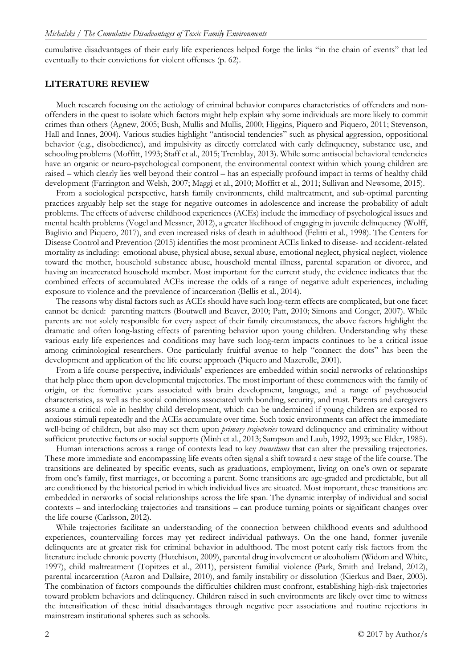cumulative disadvantages of their early life experiences helped forge the links "in the chain of events" that led eventually to their convictions for violent offenses (p. 62).

## **LITERATURE REVIEW**

Much research focusing on the aetiology of criminal behavior compares characteristics of offenders and nonoffenders in the quest to isolate which factors might help explain why some individuals are more likely to commit crimes than others (Agnew, 2005; Bush, Mullis and Mullis, 2000; Higgins, Piquero and Piquero, 2011; Stevenson, Hall and Innes, 2004). Various studies highlight "antisocial tendencies" such as physical aggression, oppositional behavior (e.g., disobedience), and impulsivity as directly correlated with early delinquency, substance use, and schooling problems (Moffitt, 1993; Staff et al., 2015; Tremblay, 2013). While some antisocial behavioral tendencies have an organic or neuro-psychological component, the environmental context within which young children are raised – which clearly lies well beyond their control – has an especially profound impact in terms of healthy child development (Farrington and Welsh, 2007; Maggi et al., 2010; Moffitt et al., 2011; Sullivan and Newsome, 2015).

From a sociological perspective, harsh family environments, child maltreatment, and sub-optimal parenting practices arguably help set the stage for negative outcomes in adolescence and increase the probability of adult problems. The effects of adverse childhood experiences (ACEs) include the immediacy of psychological issues and mental health problems (Vogel and Messner, 2012), a greater likelihood of engaging in juvenile delinquency (Wolff, Baglivio and Piquero, 2017), and even increased risks of death in adulthood (Felitti et al., 1998). The Centers for Disease Control and Prevention (2015) identifies the most prominent ACEs linked to disease- and accident-related mortality as including: emotional abuse, physical abuse, sexual abuse, emotional neglect, physical neglect, violence toward the mother, household substance abuse, household mental illness, parental separation or divorce, and having an incarcerated household member. Most important for the current study, the evidence indicates that the combined effects of accumulated ACEs increase the odds of a range of negative adult experiences, including exposure to violence and the prevalence of incarceration (Bellis et al., 2014).

The reasons why distal factors such as ACEs should have such long-term effects are complicated, but one facet cannot be denied: parenting matters (Boutwell and Beaver, 2010; Patt, 2010; Simons and Conger, 2007). While parents are not solely responsible for every aspect of their family circumstances, the above factors highlight the dramatic and often long-lasting effects of parenting behavior upon young children. Understanding why these various early life experiences and conditions may have such long-term impacts continues to be a critical issue among criminological researchers. One particularly fruitful avenue to help "connect the dots" has been the development and application of the life course approach (Piquero and Mazerolle, 2001).

From a life course perspective, individuals' experiences are embedded within social networks of relationships that help place them upon developmental trajectories. The most important of these commences with the family of origin, or the formative years associated with brain development, language, and a range of psychosocial characteristics, as well as the social conditions associated with bonding, security, and trust. Parents and caregivers assume a critical role in healthy child development, which can be undermined if young children are exposed to noxious stimuli repeatedly and the ACEs accumulate over time. Such toxic environments can affect the immediate well-being of children, but also may set them upon *primary trajectories* toward delinquency and criminality without sufficient protective factors or social supports (Minh et al., 2013; Sampson and Laub, 1992, 1993; see Elder, 1985).

Human interactions across a range of contexts lead to key *transitions* that can alter the prevailing trajectories. These more immediate and encompassing life events often signal a shift toward a new stage of the life course. The transitions are delineated by specific events, such as graduations, employment, living on one's own or separate from one's family, first marriages, or becoming a parent. Some transitions are age-graded and predictable, but all are conditioned by the historical period in which individual lives are situated. Most important, these transitions are embedded in networks of social relationships across the life span. The dynamic interplay of individual and social contexts – and interlocking trajectories and transitions – can produce turning points or significant changes over the life course (Carlsson, 2012).

While trajectories facilitate an understanding of the connection between childhood events and adulthood experiences, countervailing forces may yet redirect individual pathways. On the one hand, former juvenile delinquents are at greater risk for criminal behavior in adulthood. The most potent early risk factors from the literature include chronic poverty (Hutchison, 2009), parental drug involvement or alcoholism (Widom and White, 1997), child maltreatment (Topitzes et al., 2011), persistent familial violence (Park, Smith and Ireland, 2012), parental incarceration (Aaron and Dallaire, 2010), and family instability or dissolution (Kierkus and Baer, 2003). The combination of factors compounds the difficulties children must confront, establishing high-risk trajectories toward problem behaviors and delinquency. Children raised in such environments are likely over time to witness the intensification of these initial disadvantages through negative peer associations and routine rejections in mainstream institutional spheres such as schools.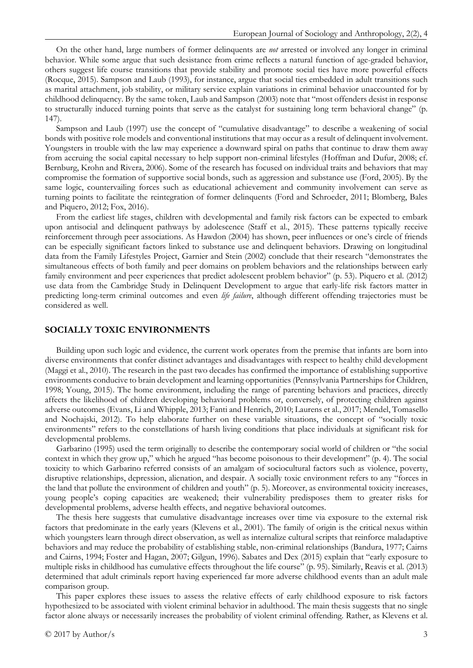On the other hand, large numbers of former delinquents are *not* arrested or involved any longer in criminal behavior. While some argue that such desistance from crime reflects a natural function of age-graded behavior, others suggest life course transitions that provide stability and promote social ties have more powerful effects (Rocque, 2015). Sampson and Laub (1993), for instance, argue that social ties embedded in adult transitions such as marital attachment, job stability, or military service explain variations in criminal behavior unaccounted for by childhood delinquency. By the same token, Laub and Sampson (2003) note that "most offenders desist in response to structurally induced turning points that serve as the catalyst for sustaining long term behavioral change" (p. 147).

Sampson and Laub (1997) use the concept of "cumulative disadvantage" to describe a weakening of social bonds with positive role models and conventional institutions that may occur as a result of delinquent involvement. Youngsters in trouble with the law may experience a downward spiral on paths that continue to draw them away from accruing the social capital necessary to help support non-criminal lifestyles (Hoffman and Dufur, 2008; cf. Bernburg, Krohn and Rivera, 2006). Some of the research has focused on individual traits and behaviors that may compromise the formation of supportive social bonds, such as aggression and substance use (Ford, 2005). By the same logic, countervailing forces such as educational achievement and community involvement can serve as turning points to facilitate the reintegration of former delinquents (Ford and Schroeder, 2011; Blomberg, Bales and Piquero, 2012; Fox, 2016).

From the earliest life stages, children with developmental and family risk factors can be expected to embark upon antisocial and delinquent pathways by adolescence (Staff et al., 2015). These patterns typically receive reinforcement through peer associations. As Hawdon (2004) has shown, peer influences or one's circle of friends can be especially significant factors linked to substance use and delinquent behaviors. Drawing on longitudinal data from the Family Lifestyles Project, Garnier and Stein (2002) conclude that their research "demonstrates the simultaneous effects of both family and peer domains on problem behaviors and the relationships between early family environment and peer experiences that predict adolescent problem behavior" (p. 53). Piquero et al. (2012) use data from the Cambridge Study in Delinquent Development to argue that early-life risk factors matter in predicting long-term criminal outcomes and even *life failure*, although different offending trajectories must be considered as well.

### **SOCIALLY TOXIC ENVIRONMENTS**

Building upon such logic and evidence, the current work operates from the premise that infants are born into diverse environments that confer distinct advantages and disadvantages with respect to healthy child development (Maggi et al., 2010). The research in the past two decades has confirmed the importance of establishing supportive environments conducive to brain development and learning opportunities (Pennsylvania Partnerships for Children, 1998; Young, 2015). The home environment, including the range of parenting behaviors and practices, directly affects the likelihood of children developing behavioral problems or, conversely, of protecting children against adverse outcomes (Evans, Li and Whipple, 2013; Fanti and Henrich, 2010; Laurens et al., 2017; Mendel, Tomasello and Nochajski, 2012). To help elaborate further on these variable situations, the concept of "socially toxic environments" refers to the constellations of harsh living conditions that place individuals at significant risk for developmental problems.

Garbarino (1995) used the term originally to describe the contemporary social world of children or "the social context in which they grow up," which he argued "has become poisonous to their development" (p. 4). The social toxicity to which Garbarino referred consists of an amalgam of sociocultural factors such as violence, poverty, disruptive relationships, depression, alienation, and despair. A socially toxic environment refers to any "forces in the land that pollute the environment of children and youth" (p. 5). Moreover, as environmental toxicity increases, young people's coping capacities are weakened; their vulnerability predisposes them to greater risks for developmental problems, adverse health effects, and negative behavioral outcomes.

The thesis here suggests that cumulative disadvantage increases over time via exposure to the external risk factors that predominate in the early years (Klevens et al., 2001). The family of origin is the critical nexus within which youngsters learn through direct observation, as well as internalize cultural scripts that reinforce maladaptive behaviors and may reduce the probability of establishing stable, non-criminal relationships (Bandura, 1977; Cairns and Cairns, 1994; Foster and Hagan, 2007; Gilgun, 1996). Sabates and Dex (2015) explain that "early exposure to multiple risks in childhood has cumulative effects throughout the life course" (p. 95). Similarly, Reavis et al. (2013) determined that adult criminals report having experienced far more adverse childhood events than an adult male comparison group.

This paper explores these issues to assess the relative effects of early childhood exposure to risk factors hypothesized to be associated with violent criminal behavior in adulthood. The main thesis suggests that no single factor alone always or necessarily increases the probability of violent criminal offending. Rather, as Klevens et al.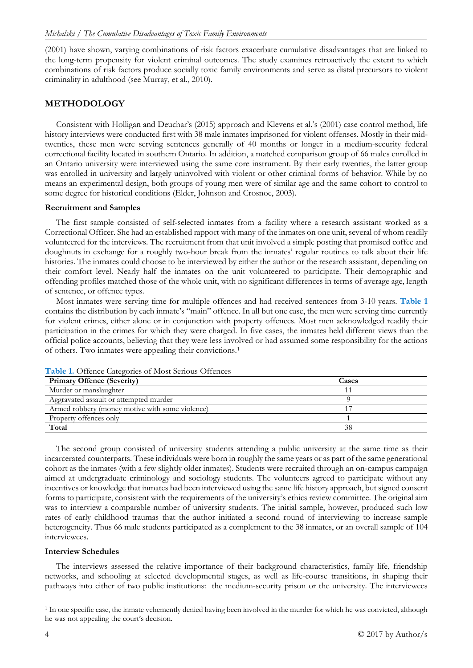(2001) have shown, varying combinations of risk factors exacerbate cumulative disadvantages that are linked to the long-term propensity for violent criminal outcomes. The study examines retroactively the extent to which combinations of risk factors produce socially toxic family environments and serve as distal precursors to violent criminality in adulthood (see Murray, et al., 2010).

# **METHODOLOGY**

Consistent with Holligan and Deuchar's (2015) approach and Klevens et al.'s (2001) case control method, life history interviews were conducted first with 38 male inmates imprisoned for violent offenses. Mostly in their midtwenties, these men were serving sentences generally of 40 months or longer in a medium-security federal correctional facility located in southern Ontario. In addition, a matched comparison group of 66 males enrolled in an Ontario university were interviewed using the same core instrument. By their early twenties, the latter group was enrolled in university and largely uninvolved with violent or other criminal forms of behavior. While by no means an experimental design, both groups of young men were of similar age and the same cohort to control to some degree for historical conditions (Elder, Johnson and Crosnoe, 2003).

## **Recruitment and Samples**

The first sample consisted of self-selected inmates from a facility where a research assistant worked as a Correctional Officer. She had an established rapport with many of the inmates on one unit, several of whom readily volunteered for the interviews. The recruitment from that unit involved a simple posting that promised coffee and doughnuts in exchange for a roughly two-hour break from the inmates' regular routines to talk about their life histories. The inmates could choose to be interviewed by either the author or the research assistant, depending on their comfort level. Nearly half the inmates on the unit volunteered to participate. Their demographic and offending profiles matched those of the whole unit, with no significant differences in terms of average age, length of sentence, or offence types.

Most inmates were serving time for multiple offences and had received sentences from 3-10 years. **Table 1** contains the distribution by each inmate's "main" offence. In all but one case, the men were serving time currently for violent crimes, either alone or in conjunction with property offences. Most men acknowledged readily their participation in the crimes for which they were charged. In five cases, the inmates held different views than the official police accounts, believing that they were less involved or had assumed some responsibility for the actions of others. Two inmates were appealing their convictions.[1](#page-3-0)

| <b>Primary Offence (Severity)</b>               | Cases |
|-------------------------------------------------|-------|
| Murder or manslaughter                          |       |
| Aggravated assault or attempted murder          |       |
| Armed robbery (money motive with some violence) |       |
| Property offences only                          |       |
| Total                                           |       |

**Table 1.** Offence Categories of Most Serious Offences

The second group consisted of university students attending a public university at the same time as their incarcerated counterparts. These individuals were born in roughly the same years or as part of the same generational cohort as the inmates (with a few slightly older inmates). Students were recruited through an on-campus campaign aimed at undergraduate criminology and sociology students. The volunteers agreed to participate without any incentives or knowledge that inmates had been interviewed using the same life history approach, but signed consent forms to participate, consistent with the requirements of the university's ethics review committee. The original aim was to interview a comparable number of university students. The initial sample, however, produced such low rates of early childhood traumas that the author initiated a second round of interviewing to increase sample heterogeneity. Thus 66 male students participated as a complement to the 38 inmates, or an overall sample of 104 interviewees.

## **Interview Schedules**

The interviews assessed the relative importance of their background characteristics, family life, friendship networks, and schooling at selected developmental stages, as well as life-course transitions, in shaping their pathways into either of two public institutions: the medium-security prison or the university. The interviewees

<span id="page-3-0"></span><sup>&</sup>lt;sup>1</sup> In one specific case, the inmate vehemently denied having been involved in the murder for which he was convicted, although he was not appealing the court's decision.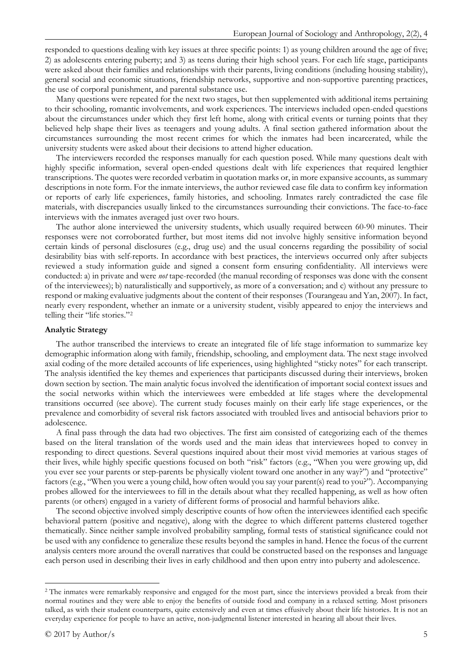responded to questions dealing with key issues at three specific points: 1) as young children around the age of five; 2) as adolescents entering puberty; and 3) as teens during their high school years. For each life stage, participants were asked about their families and relationships with their parents, living conditions (including housing stability), general social and economic situations, friendship networks, supportive and non-supportive parenting practices, the use of corporal punishment, and parental substance use.

Many questions were repeated for the next two stages, but then supplemented with additional items pertaining to their schooling, romantic involvements, and work experiences. The interviews included open-ended questions about the circumstances under which they first left home, along with critical events or turning points that they believed help shape their lives as teenagers and young adults. A final section gathered information about the circumstances surrounding the most recent crimes for which the inmates had been incarcerated, while the university students were asked about their decisions to attend higher education.

The interviewers recorded the responses manually for each question posed. While many questions dealt with highly specific information, several open-ended questions dealt with life experiences that required lengthier transcriptions. The quotes were recorded verbatim in quotation marks or, in more expansive accounts, as summary descriptions in note form. For the inmate interviews, the author reviewed case file data to confirm key information or reports of early life experiences, family histories, and schooling. Inmates rarely contradicted the case file materials, with discrepancies usually linked to the circumstances surrounding their convictions. The face-to-face interviews with the inmates averaged just over two hours.

The author alone interviewed the university students, which usually required between 60-90 minutes. Their responses were not corroborated further, but most items did not involve highly sensitive information beyond certain kinds of personal disclosures (e.g., drug use) and the usual concerns regarding the possibility of social desirability bias with self-reports. In accordance with best practices, the interviews occurred only after subjects reviewed a study information guide and signed a consent form ensuring confidentiality. All interviews were conducted: a) in private and were *not* tape-recorded (the manual recording of responses was done with the consent of the interviewees); b) naturalistically and supportively, as more of a conversation; and c) without any pressure to respond or making evaluative judgments about the content of their responses (Tourangeau and Yan, 2007). In fact, nearly every respondent, whether an inmate or a university student, visibly appeared to enjoy the interviews and telling their "life stories."[2](#page-4-0)

#### **Analytic Strategy**

The author transcribed the interviews to create an integrated file of life stage information to summarize key demographic information along with family, friendship, schooling, and employment data. The next stage involved axial coding of the more detailed accounts of life experiences, using highlighted "sticky notes" for each transcript. The analysis identified the key themes and experiences that participants discussed during their interviews, broken down section by section. The main analytic focus involved the identification of important social context issues and the social networks within which the interviewees were embedded at life stages where the developmental transitions occurred (see above). The current study focuses mainly on their early life stage experiences, or the prevalence and comorbidity of several risk factors associated with troubled lives and antisocial behaviors prior to adolescence.

A final pass through the data had two objectives. The first aim consisted of categorizing each of the themes based on the literal translation of the words used and the main ideas that interviewees hoped to convey in responding to direct questions. Several questions inquired about their most vivid memories at various stages of their lives, while highly specific questions focused on both "risk" factors (e.g., "When you were growing up, did you ever see your parents or step-parents be physically violent toward one another in any way?") and "protective" factors (e.g., "When you were a young child, how often would you say your parent(s) read to you?"). Accompanying probes allowed for the interviewees to fill in the details about what they recalled happening, as well as how often parents (or others) engaged in a variety of different forms of prosocial and harmful behaviors alike.

The second objective involved simply descriptive counts of how often the interviewees identified each specific behavioral pattern (positive and negative), along with the degree to which different patterns clustered together thematically. Since neither sample involved probability sampling, formal tests of statistical significance could not be used with any confidence to generalize these results beyond the samples in hand. Hence the focus of the current analysis centers more around the overall narratives that could be constructed based on the responses and language each person used in describing their lives in early childhood and then upon entry into puberty and adolescence.

<span id="page-4-0"></span><sup>&</sup>lt;sup>2</sup> The inmates were remarkably responsive and engaged for the most part, since the interviews provided a break from their normal routines and they were able to enjoy the benefits of outside food and company in a relaxed setting. Most prisoners talked, as with their student counterparts, quite extensively and even at times effusively about their life histories. It is not an everyday experience for people to have an active, non-judgmental listener interested in hearing all about their lives.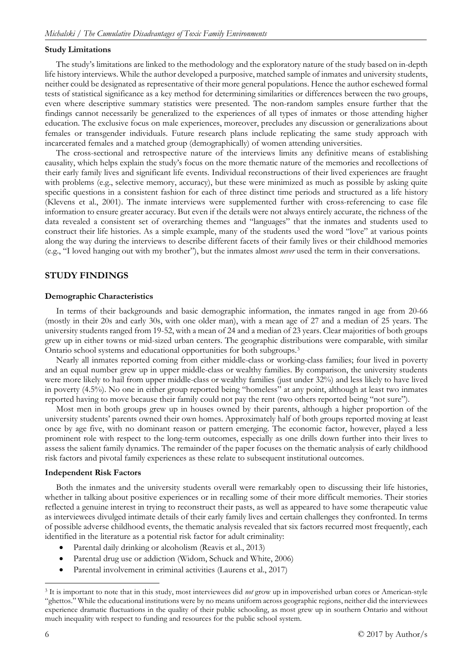## **Study Limitations**

The study's limitations are linked to the methodology and the exploratory nature of the study based on in-depth life history interviews. While the author developed a purposive, matched sample of inmates and university students, neither could be designated as representative of their more general populations. Hence the author eschewed formal tests of statistical significance as a key method for determining similarities or differences between the two groups, even where descriptive summary statistics were presented. The non-random samples ensure further that the findings cannot necessarily be generalized to the experiences of all types of inmates or those attending higher education. The exclusive focus on male experiences, moreover, precludes any discussion or generalizations about females or transgender individuals. Future research plans include replicating the same study approach with incarcerated females and a matched group (demographically) of women attending universities.

The cross-sectional and retrospective nature of the interviews limits any definitive means of establishing causality, which helps explain the study's focus on the more thematic nature of the memories and recollections of their early family lives and significant life events. Individual reconstructions of their lived experiences are fraught with problems (e.g., selective memory, accuracy), but these were minimized as much as possible by asking quite specific questions in a consistent fashion for each of three distinct time periods and structured as a life history (Klevens et al., 2001). The inmate interviews were supplemented further with cross-referencing to case file information to ensure greater accuracy. But even if the details were not always entirely accurate, the richness of the data revealed a consistent set of overarching themes and "languages" that the inmates and students used to construct their life histories. As a simple example, many of the students used the word "love" at various points along the way during the interviews to describe different facets of their family lives or their childhood memories (e.g., "I loved hanging out with my brother"), but the inmates almost *never* used the term in their conversations.

## **STUDY FINDINGS**

#### **Demographic Characteristics**

In terms of their backgrounds and basic demographic information, the inmates ranged in age from 20-66 (mostly in their 20s and early 30s, with one older man), with a mean age of 27 and a median of 25 years. The university students ranged from 19-52, with a mean of 24 and a median of 23 years. Clear majorities of both groups grew up in either towns or mid-sized urban centers. The geographic distributions were comparable, with similar Ontario school systems and educational opportunities for both subgroups.[3](#page-5-0)

Nearly all inmates reported coming from either middle-class or working-class families; four lived in poverty and an equal number grew up in upper middle-class or wealthy families. By comparison, the university students were more likely to hail from upper middle-class or wealthy families (just under 32%) and less likely to have lived in poverty (4.5%). No one in either group reported being "homeless" at any point, although at least two inmates reported having to move because their family could not pay the rent (two others reported being "not sure").

Most men in both groups grew up in houses owned by their parents, although a higher proportion of the university students' parents owned their own homes. Approximately half of both groups reported moving at least once by age five, with no dominant reason or pattern emerging. The economic factor, however, played a less prominent role with respect to the long-term outcomes, especially as one drills down further into their lives to assess the salient family dynamics. The remainder of the paper focuses on the thematic analysis of early childhood risk factors and pivotal family experiences as these relate to subsequent institutional outcomes.

## **Independent Risk Factors**

Both the inmates and the university students overall were remarkably open to discussing their life histories, whether in talking about positive experiences or in recalling some of their more difficult memories. Their stories reflected a genuine interest in trying to reconstruct their pasts, as well as appeared to have some therapeutic value as interviewees divulged intimate details of their early family lives and certain challenges they confronted. In terms of possible adverse childhood events, the thematic analysis revealed that six factors recurred most frequently, each identified in the literature as a potential risk factor for adult criminality:

- Parental daily drinking or alcoholism (Reavis et al., 2013)
- Parental drug use or addiction (Widom, Schuck and White, 2006)
- Parental involvement in criminal activities (Laurens et al., 2017)

<span id="page-5-0"></span> <sup>3</sup> It is important to note that in this study, most interviewees did *not* grow up in impoverished urban cores or American-style "ghettos." While the educational institutions were by no means uniform across geographic regions, neither did the interviewees experience dramatic fluctuations in the quality of their public schooling, as most grew up in southern Ontario and without much inequality with respect to funding and resources for the public school system.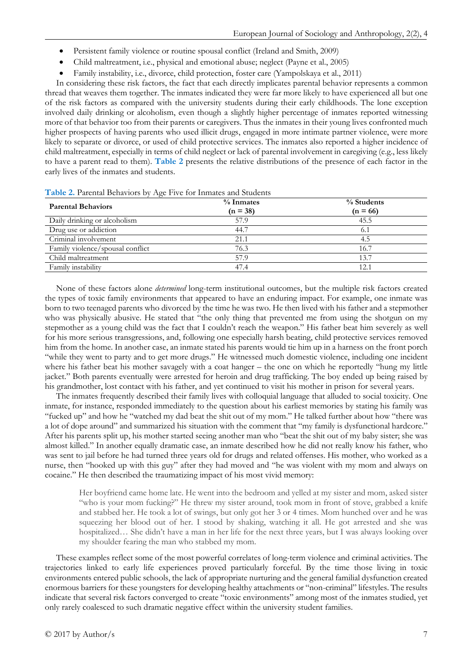- Persistent family violence or routine spousal conflict (Ireland and Smith, 2009)
- Child maltreatment, i.e., physical and emotional abuse; neglect (Payne et al., 2005)
- Family instability, i.e., divorce, child protection, foster care (Yampolskaya et al., 2011)

In considering these risk factors, the fact that each directly implicates parental behavior represents a common thread that weaves them together. The inmates indicated they were far more likely to have experienced all but one of the risk factors as compared with the university students during their early childhoods. The lone exception involved daily drinking or alcoholism, even though a slightly higher percentage of inmates reported witnessing more of that behavior too from their parents or caregivers. Thus the inmates in their young lives confronted much higher prospects of having parents who used illicit drugs, engaged in more intimate partner violence, were more likely to separate or divorce, or used of child protective services. The inmates also reported a higher incidence of child maltreatment, especially in terms of child neglect or lack of parental involvement in caregiving (e.g., less likely to have a parent read to them). **Table 2** presents the relative distributions of the presence of each factor in the early lives of the inmates and students.

| <b>Parental Behaviors</b>        | $%$ Inmates<br>$(n = 38)$ | % Students<br>$(n = 66)$ |
|----------------------------------|---------------------------|--------------------------|
| Daily drinking or alcoholism     | 57.9                      | 45.5                     |
| Drug use or addiction            | 44.7                      | 6.1                      |
| Criminal involvement             | 21.1                      | 4.5                      |
| Family violence/spousal conflict | 76.3                      | 16.7                     |
| Child maltreatment               | 57.9                      | 13.7                     |
| Family instability               | 47.4                      | 12.1                     |

**Table 2.** Parental Behaviors by Age Five for Inmates and Students

None of these factors alone *determined* long-term institutional outcomes, but the multiple risk factors created the types of toxic family environments that appeared to have an enduring impact. For example, one inmate was born to two teenaged parents who divorced by the time he was two. He then lived with his father and a stepmother who was physically abusive. He stated that "the only thing that prevented me from using the shotgun on my stepmother as a young child was the fact that I couldn't reach the weapon." His father beat him severely as well for his more serious transgressions, and, following one especially harsh beating, child protective services removed him from the home. In another case, an inmate stated his parents would tie him up in a harness on the front porch "while they went to party and to get more drugs." He witnessed much domestic violence, including one incident where his father beat his mother savagely with a coat hanger – the one on which he reportedly "hung my little jacket." Both parents eventually were arrested for heroin and drug trafficking. The boy ended up being raised by his grandmother, lost contact with his father, and yet continued to visit his mother in prison for several years.

The inmates frequently described their family lives with colloquial language that alluded to social toxicity. One inmate, for instance, responded immediately to the question about his earliest memories by stating his family was "fucked up" and how he "watched my dad beat the shit out of my mom." He talked further about how "there was a lot of dope around" and summarized his situation with the comment that "my family is dysfunctional hardcore." After his parents split up, his mother started seeing another man who "beat the shit out of my baby sister; she was almost killed." In another equally dramatic case, an inmate described how he did not really know his father, who was sent to jail before he had turned three years old for drugs and related offenses. His mother, who worked as a nurse, then "hooked up with this guy" after they had moved and "he was violent with my mom and always on cocaine." He then described the traumatizing impact of his most vivid memory:

Her boyfriend came home late. He went into the bedroom and yelled at my sister and mom, asked sister "who is your mom fucking?" He threw my sister around, took mom in front of stove, grabbed a knife and stabbed her. He took a lot of swings, but only got her 3 or 4 times. Mom hunched over and he was squeezing her blood out of her. I stood by shaking, watching it all. He got arrested and she was hospitalized… She didn't have a man in her life for the next three years, but I was always looking over my shoulder fearing the man who stabbed my mom.

These examples reflect some of the most powerful correlates of long-term violence and criminal activities. The trajectories linked to early life experiences proved particularly forceful. By the time those living in toxic environments entered public schools, the lack of appropriate nurturing and the general familial dysfunction created enormous barriers for these youngsters for developing healthy attachments or "non-criminal" lifestyles. The results indicate that several risk factors converged to create "toxic environments" among most of the inmates studied, yet only rarely coalesced to such dramatic negative effect within the university student families.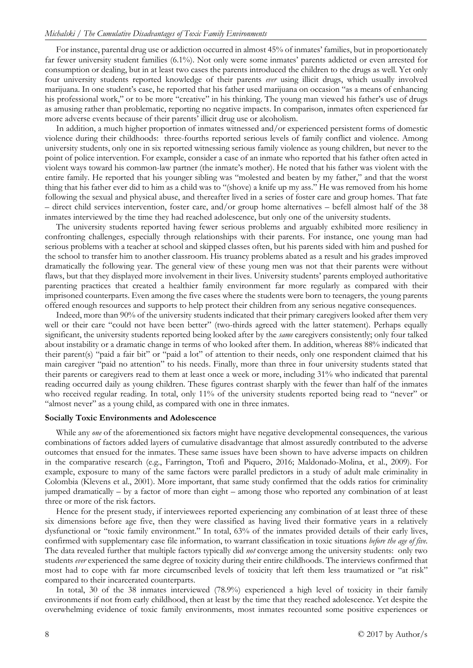For instance, parental drug use or addiction occurred in almost 45% of inmates' families, but in proportionately far fewer university student families (6.1%). Not only were some inmates' parents addicted or even arrested for consumption or dealing, but in at least two cases the parents introduced the children to the drugs as well. Yet only four university students reported knowledge of their parents *ever* using illicit drugs, which usually involved marijuana. In one student's case, he reported that his father used marijuana on occasion "as a means of enhancing his professional work," or to be more "creative" in his thinking. The young man viewed his father's use of drugs as amusing rather than problematic, reporting no negative impacts. In comparison, inmates often experienced far more adverse events because of their parents' illicit drug use or alcoholism.

In addition, a much higher proportion of inmates witnessed and/or experienced persistent forms of domestic violence during their childhoods: three-fourths reported serious levels of family conflict and violence. Among university students, only one in six reported witnessing serious family violence as young children, but never to the point of police intervention. For example, consider a case of an inmate who reported that his father often acted in violent ways toward his common-law partner (the inmate's mother). He noted that his father was violent with the entire family. He reported that his younger sibling was "molested and beaten by my father," and that the worst thing that his father ever did to him as a child was to "(shove) a knife up my ass." He was removed from his home following the sexual and physical abuse, and thereafter lived in a series of foster care and group homes. That fate – direct child services intervention, foster care, and/or group home alternatives – befell almost half of the 38 inmates interviewed by the time they had reached adolescence, but only one of the university students.

The university students reported having fewer serious problems and arguably exhibited more resiliency in confronting challenges, especially through relationships with their parents. For instance, one young man had serious problems with a teacher at school and skipped classes often, but his parents sided with him and pushed for the school to transfer him to another classroom. His truancy problems abated as a result and his grades improved dramatically the following year. The general view of these young men was not that their parents were without flaws, but that they displayed more involvement in their lives. University students' parents employed authoritative parenting practices that created a healthier family environment far more regularly as compared with their imprisoned counterparts. Even among the five cases where the students were born to teenagers, the young parents offered enough resources and supports to help protect their children from any serious negative consequences.

Indeed, more than 90% of the university students indicated that their primary caregivers looked after them very well or their care "could not have been better" (two-thirds agreed with the latter statement). Perhaps equally significant, the university students reported being looked after by the *same* caregivers consistently; only four talked about instability or a dramatic change in terms of who looked after them. In addition, whereas 88% indicated that their parent(s) "paid a fair bit" or "paid a lot" of attention to their needs, only one respondent claimed that his main caregiver "paid no attention" to his needs. Finally, more than three in four university students stated that their parents or caregivers read to them at least once a week or more, including 31% who indicated that parental reading occurred daily as young children. These figures contrast sharply with the fewer than half of the inmates who received regular reading. In total, only 11% of the university students reported being read to "never" or "almost never" as a young child, as compared with one in three inmates.

#### **Socially Toxic Environments and Adolescence**

While any *one* of the aforementioned six factors might have negative developmental consequences, the various combinations of factors added layers of cumulative disadvantage that almost assuredly contributed to the adverse outcomes that ensued for the inmates. These same issues have been shown to have adverse impacts on children in the comparative research (e.g., Farrington, Ttofi and Piquero, 2016; Maldonado-Molina, et al., 2009). For example, exposure to many of the same factors were parallel predictors in a study of adult male criminality in Colombia (Klevens et al., 2001). More important, that same study confirmed that the odds ratios for criminality jumped dramatically – by a factor of more than eight – among those who reported any combination of at least three or more of the risk factors.

Hence for the present study, if interviewees reported experiencing any combination of at least three of these six dimensions before age five, then they were classified as having lived their formative years in a relatively dysfunctional or "toxic family environment." In total, 63% of the inmates provided details of their early lives, confirmed with supplementary case file information, to warrant classification in toxic situations *before the age of five*. The data revealed further that multiple factors typically did *not* converge among the university students: only two students *ever* experienced the same degree of toxicity during their entire childhoods. The interviews confirmed that most had to cope with far more circumscribed levels of toxicity that left them less traumatized or "at risk" compared to their incarcerated counterparts.

In total, 30 of the 38 inmates interviewed (78.9%) experienced a high level of toxicity in their family environments if not from early childhood, then at least by the time that they reached adolescence. Yet despite the overwhelming evidence of toxic family environments, most inmates recounted some positive experiences or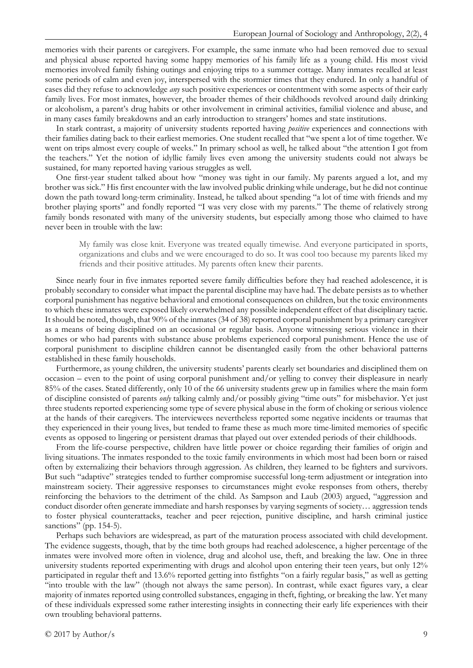memories with their parents or caregivers. For example, the same inmate who had been removed due to sexual and physical abuse reported having some happy memories of his family life as a young child. His most vivid memories involved family fishing outings and enjoying trips to a summer cottage. Many inmates recalled at least some periods of calm and even joy, interspersed with the stormier times that they endured. In only a handful of cases did they refuse to acknowledge *any* such positive experiences or contentment with some aspects of their early family lives. For most inmates, however, the broader themes of their childhoods revolved around daily drinking or alcoholism, a parent's drug habits or other involvement in criminal activities, familial violence and abuse, and in many cases family breakdowns and an early introduction to strangers' homes and state institutions.

In stark contrast, a majority of university students reported having *positive* experiences and connections with their families dating back to their earliest memories. One student recalled that "we spent a lot of time together. We went on trips almost every couple of weeks." In primary school as well, he talked about "the attention I got from the teachers." Yet the notion of idyllic family lives even among the university students could not always be sustained, for many reported having various struggles as well.

One first-year student talked about how "money was tight in our family. My parents argued a lot, and my brother was sick." His first encounter with the law involved public drinking while underage, but he did not continue down the path toward long-term criminality. Instead, he talked about spending "a lot of time with friends and my brother playing sports" and fondly reported "I was very close with my parents." The theme of relatively strong family bonds resonated with many of the university students, but especially among those who claimed to have never been in trouble with the law:

My family was close knit. Everyone was treated equally timewise. And everyone participated in sports, organizations and clubs and we were encouraged to do so. It was cool too because my parents liked my friends and their positive attitudes. My parents often knew their parents.

Since nearly four in five inmates reported severe family difficulties before they had reached adolescence, it is probably secondary to consider what impact the parental discipline may have had. The debate persists as to whether corporal punishment has negative behavioral and emotional consequences on children, but the toxic environments to which these inmates were exposed likely overwhelmed any possible independent effect of that disciplinary tactic. It should be noted, though, that 90% of the inmates (34 of 38) reported corporal punishment by a primary caregiver as a means of being disciplined on an occasional or regular basis. Anyone witnessing serious violence in their homes or who had parents with substance abuse problems experienced corporal punishment. Hence the use of corporal punishment to discipline children cannot be disentangled easily from the other behavioral patterns established in these family households.

Furthermore, as young children, the university students' parents clearly set boundaries and disciplined them on occasion – even to the point of using corporal punishment and/or yelling to convey their displeasure in nearly 85% of the cases. Stated differently, only 10 of the 66 university students grew up in families where the main form of discipline consisted of parents *only* talking calmly and/or possibly giving "time outs" for misbehavior. Yet just three students reported experiencing some type of severe physical abuse in the form of choking or serious violence at the hands of their caregivers. The interviewees nevertheless reported some negative incidents or traumas that they experienced in their young lives, but tended to frame these as much more time-limited memories of specific events as opposed to lingering or persistent dramas that played out over extended periods of their childhoods.

From the life-course perspective, children have little power or choice regarding their families of origin and living situations. The inmates responded to the toxic family environments in which most had been born or raised often by externalizing their behaviors through aggression. As children, they learned to be fighters and survivors. But such "adaptive" strategies tended to further compromise successful long-term adjustment or integration into mainstream society. Their aggressive responses to circumstances might evoke responses from others, thereby reinforcing the behaviors to the detriment of the child. As Sampson and Laub (2003) argued, "aggression and conduct disorder often generate immediate and harsh responses by varying segments of society… aggression tends to foster physical counterattacks, teacher and peer rejection, punitive discipline, and harsh criminal justice sanctions" (pp. 154-5).

Perhaps such behaviors are widespread, as part of the maturation process associated with child development. The evidence suggests, though, that by the time both groups had reached adolescence, a higher percentage of the inmates were involved more often in violence, drug and alcohol use, theft, and breaking the law. One in three university students reported experimenting with drugs and alcohol upon entering their teen years, but only 12% participated in regular theft and 13.6% reported getting into fistfights "on a fairly regular basis," as well as getting "into trouble with the law" (though not always the same person). In contrast, while exact figures vary, a clear majority of inmates reported using controlled substances, engaging in theft, fighting, or breaking the law. Yet many of these individuals expressed some rather interesting insights in connecting their early life experiences with their own troubling behavioral patterns.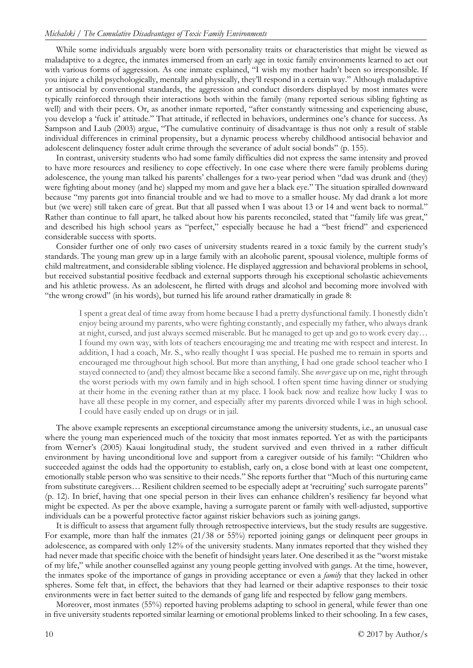While some individuals arguably were born with personality traits or characteristics that might be viewed as maladaptive to a degree, the inmates immersed from an early age in toxic family environments learned to act out with various forms of aggression. As one inmate explained, "I wish my mother hadn't been so irresponsible. If you injure a child psychologically, mentally and physically, they'll respond in a certain way." Although maladaptive or antisocial by conventional standards, the aggression and conduct disorders displayed by most inmates were typically reinforced through their interactions both within the family (many reported serious sibling fighting as well) and with their peers. Or, as another inmate reported, "after constantly witnessing and experiencing abuse, you develop a 'fuck it' attitude." That attitude, if reflected in behaviors, undermines one's chance for success. As Sampson and Laub (2003) argue, "The cumulative continuity of disadvantage is thus not only a result of stable individual differences in criminal propensity, but a dynamic process whereby childhood antisocial behavior and adolescent delinquency foster adult crime through the severance of adult social bonds" (p. 155).

In contrast, university students who had some family difficulties did not express the same intensity and proved to have more resources and resiliency to cope effectively. In one case where there were family problems during adolescence, the young man talked his parents' challenges for a two-year period when "dad was drunk and (they) were fighting about money (and he) slapped my mom and gave her a black eye." The situation spiralled downward because "my parents got into financial trouble and we had to move to a smaller house. My dad drank a lot more but (we were) still taken care of great. But that all passed when I was about 13 or 14 and went back to normal." Rather than continue to fall apart, he talked about how his parents reconciled, stated that "family life was great," and described his high school years as "perfect," especially because he had a "best friend" and experienced considerable success with sports.

Consider further one of only two cases of university students reared in a toxic family by the current study's standards. The young man grew up in a large family with an alcoholic parent, spousal violence, multiple forms of child maltreatment, and considerable sibling violence. He displayed aggression and behavioral problems in school, but received substantial positive feedback and external supports through his exceptional scholastic achievements and his athletic prowess. As an adolescent, he flirted with drugs and alcohol and becoming more involved with "the wrong crowd" (in his words), but turned his life around rather dramatically in grade 8:

I spent a great deal of time away from home because I had a pretty dysfunctional family. I honestly didn't enjoy being around my parents, who were fighting constantly, and especially my father, who always drank at night, cursed, and just always seemed miserable. But he managed to get up and go to work every day… I found my own way, with lots of teachers encouraging me and treating me with respect and interest. In addition, I had a coach, Mr. S., who really thought I was special. He pushed me to remain in sports and encouraged me throughout high school. But more than anything, I had one grade school teacher who I stayed connected to (and) they almost became like a second family. She *never* gave up on me, right through the worst periods with my own family and in high school. I often spent time having dinner or studying at their home in the evening rather than at my place. I look back now and realize how lucky I was to have all these people in my corner, and especially after my parents divorced while I was in high school. I could have easily ended up on drugs or in jail.

The above example represents an exceptional circumstance among the university students, i.e., an unusual case where the young man experienced much of the toxicity that most inmates reported. Yet as with the participants from Werner's (2005) Kauai longitudinal study, the student survived and even thrived in a rather difficult environment by having unconditional love and support from a caregiver outside of his family: "Children who succeeded against the odds had the opportunity to establish, early on, a close bond with at least one competent, emotionally stable person who was sensitive to their needs." She reports further that "Much of this nurturing came from substitute caregivers… Resilient children seemed to be especially adept at 'recruiting' such surrogate parents" (p. 12). In brief, having that one special person in their lives can enhance children's resiliency far beyond what might be expected. As per the above example, having a surrogate parent or family with well-adjusted, supportive individuals can be a powerful protective factor against riskier behaviors such as joining gangs.

It is difficult to assess that argument fully through retrospective interviews, but the study results are suggestive. For example, more than half the inmates  $(21/38$  or 55%) reported joining gangs or delinquent peer groups in adolescence, as compared with only 12% of the university students. Many inmates reported that they wished they had never made that specific choice with the benefit of hindsight years later. One described it as the "worst mistake of my life," while another counselled against any young people getting involved with gangs. At the time, however, the inmates spoke of the importance of gangs in providing acceptance or even a *family* that they lacked in other spheres. Some felt that, in effect, the behaviors that they had learned or their adaptive responses to their toxic environments were in fact better suited to the demands of gang life and respected by fellow gang members.

Moreover, most inmates (55%) reported having problems adapting to school in general, while fewer than one in five university students reported similar learning or emotional problems linked to their schooling. In a few cases,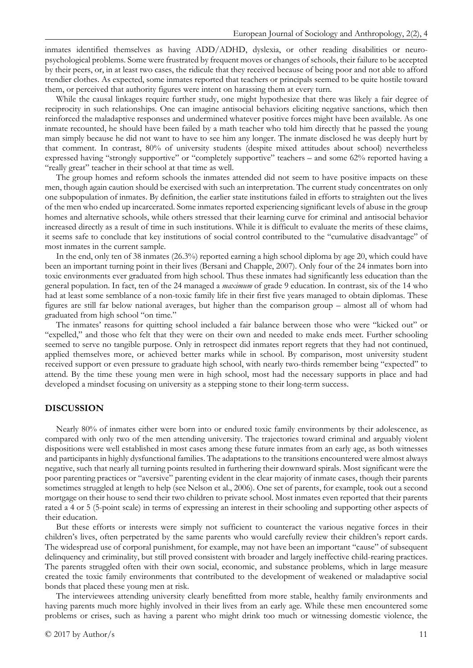inmates identified themselves as having ADD/ADHD, dyslexia, or other reading disabilities or neuropsychological problems. Some were frustrated by frequent moves or changes of schools, their failure to be accepted by their peers, or, in at least two cases, the ridicule that they received because of being poor and not able to afford trendier clothes. As expected, some inmates reported that teachers or principals seemed to be quite hostile toward them, or perceived that authority figures were intent on harassing them at every turn.

While the causal linkages require further study, one might hypothesize that there was likely a fair degree of reciprocity in such relationships. One can imagine antisocial behaviors eliciting negative sanctions, which then reinforced the maladaptive responses and undermined whatever positive forces might have been available. As one inmate recounted, he should have been failed by a math teacher who told him directly that he passed the young man simply because he did not want to have to see him any longer. The inmate disclosed he was deeply hurt by that comment. In contrast, 80% of university students (despite mixed attitudes about school) nevertheless expressed having "strongly supportive" or "completely supportive" teachers – and some 62% reported having a "really great" teacher in their school at that time as well.

The group homes and reform schools the inmates attended did not seem to have positive impacts on these men, though again caution should be exercised with such an interpretation. The current study concentrates on only one subpopulation of inmates. By definition, the earlier state institutions failed in efforts to straighten out the lives of the men who ended up incarcerated. Some inmates reported experiencing significant levels of abuse in the group homes and alternative schools, while others stressed that their learning curve for criminal and antisocial behavior increased directly as a result of time in such institutions. While it is difficult to evaluate the merits of these claims, it seems safe to conclude that key institutions of social control contributed to the "cumulative disadvantage" of most inmates in the current sample.

In the end, only ten of 38 inmates (26.3%) reported earning a high school diploma by age 20, which could have been an important turning point in their lives (Bersani and Chapple, 2007). Only four of the 24 inmates born into toxic environments ever graduated from high school. Thus these inmates had significantly less education than the general population. In fact, ten of the 24 managed a *maximum* of grade 9 education. In contrast, six of the 14 who had at least some semblance of a non-toxic family life in their first five years managed to obtain diplomas. These figures are still far below national averages, but higher than the comparison group – almost all of whom had graduated from high school "on time."

The inmates' reasons for quitting school included a fair balance between those who were "kicked out" or "expelled," and those who felt that they were on their own and needed to make ends meet. Further schooling seemed to serve no tangible purpose. Only in retrospect did inmates report regrets that they had not continued, applied themselves more, or achieved better marks while in school. By comparison, most university student received support or even pressure to graduate high school, with nearly two-thirds remember being "expected" to attend. By the time these young men were in high school, most had the necessary supports in place and had developed a mindset focusing on university as a stepping stone to their long-term success.

## **DISCUSSION**

Nearly 80% of inmates either were born into or endured toxic family environments by their adolescence, as compared with only two of the men attending university. The trajectories toward criminal and arguably violent dispositions were well established in most cases among these future inmates from an early age, as both witnesses and participants in highly dysfunctional families. The adaptations to the transitions encountered were almost always negative, such that nearly all turning points resulted in furthering their downward spirals. Most significant were the poor parenting practices or "aversive" parenting evident in the clear majority of inmate cases, though their parents sometimes struggled at length to help (see Nelson et al., 2006). One set of parents, for example, took out a second mortgage on their house to send their two children to private school. Most inmates even reported that their parents rated a 4 or 5 (5-point scale) in terms of expressing an interest in their schooling and supporting other aspects of their education.

But these efforts or interests were simply not sufficient to counteract the various negative forces in their children's lives, often perpetrated by the same parents who would carefully review their children's report cards. The widespread use of corporal punishment, for example, may not have been an important "cause" of subsequent delinquency and criminality, but still proved consistent with broader and largely ineffective child-rearing practices. The parents struggled often with their own social, economic, and substance problems, which in large measure created the toxic family environments that contributed to the development of weakened or maladaptive social bonds that placed these young men at risk.

The interviewees attending university clearly benefitted from more stable, healthy family environments and having parents much more highly involved in their lives from an early age. While these men encountered some problems or crises, such as having a parent who might drink too much or witnessing domestic violence, the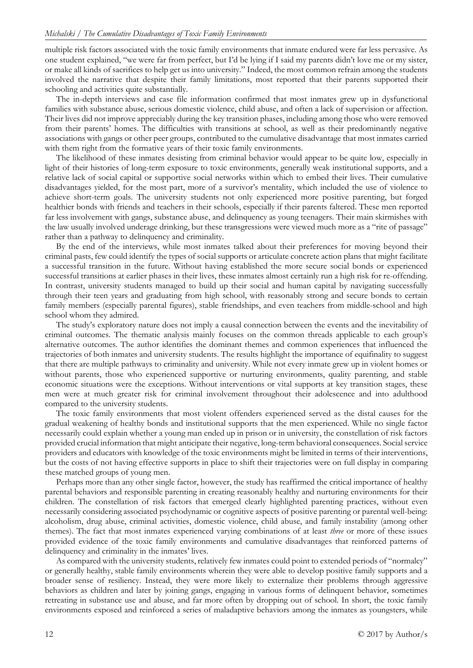multiple risk factors associated with the toxic family environments that inmate endured were far less pervasive. As one student explained, "we were far from perfect, but I'd be lying if I said my parents didn't love me or my sister, or make all kinds of sacrifices to help get us into university." Indeed, the most common refrain among the students involved the narrative that despite their family limitations, most reported that their parents supported their schooling and activities quite substantially.

The in-depth interviews and case file information confirmed that most inmates grew up in dysfunctional families with substance abuse, serious domestic violence, child abuse, and often a lack of supervision or affection. Their lives did not improve appreciably during the key transition phases, including among those who were removed from their parents' homes. The difficulties with transitions at school, as well as their predominantly negative associations with gangs or other peer groups, contributed to the cumulative disadvantage that most inmates carried with them right from the formative years of their toxic family environments.

The likelihood of these inmates desisting from criminal behavior would appear to be quite low, especially in light of their histories of long-term exposure to toxic environments, generally weak institutional supports, and a relative lack of social capital or supportive social networks within which to embed their lives. Their cumulative disadvantages yielded, for the most part, more of a survivor's mentality, which included the use of violence to achieve short-term goals. The university students not only experienced more positive parenting, but forged healthier bonds with friends and teachers in their schools, especially if their parents faltered. These men reported far less involvement with gangs, substance abuse, and delinquency as young teenagers. Their main skirmishes with the law usually involved underage drinking, but these transgressions were viewed much more as a "rite of passage" rather than a pathway to delinquency and criminality.

By the end of the interviews, while most inmates talked about their preferences for moving beyond their criminal pasts, few could identify the types of social supports or articulate concrete action plans that might facilitate a successful transition in the future. Without having established the more secure social bonds or experienced successful transitions at earlier phases in their lives, these inmates almost certainly run a high risk for re-offending. In contrast, university students managed to build up their social and human capital by navigating successfully through their teen years and graduating from high school, with reasonably strong and secure bonds to certain family members (especially parental figures), stable friendships, and even teachers from middle-school and high school whom they admired.

The study's exploratory nature does not imply a causal connection between the events and the inevitability of criminal outcomes. The thematic analysis mainly focuses on the common threads applicable to each group's alternative outcomes. The author identifies the dominant themes and common experiences that influenced the trajectories of both inmates and university students. The results highlight the importance of equifinality to suggest that there are multiple pathways to criminality and university. While not every inmate grew up in violent homes or without parents, those who experienced supportive or nurturing environments, quality parenting, and stable economic situations were the exceptions. Without interventions or vital supports at key transition stages, these men were at much greater risk for criminal involvement throughout their adolescence and into adulthood compared to the university students.

The toxic family environments that most violent offenders experienced served as the distal causes for the gradual weakening of healthy bonds and institutional supports that the men experienced. While no single factor necessarily could explain whether a young man ended up in prison or in university, the constellation of risk factors provided crucial information that might anticipate their negative, long-term behavioral consequences. Social service providers and educators with knowledge of the toxic environments might be limited in terms of their interventions, but the costs of not having effective supports in place to shift their trajectories were on full display in comparing these matched groups of young men.

Perhaps more than any other single factor, however, the study has reaffirmed the critical importance of healthy parental behaviors and responsible parenting in creating reasonably healthy and nurturing environments for their children. The constellation of risk factors that emerged clearly highlighted parenting practices, without even necessarily considering associated psychodynamic or cognitive aspects of positive parenting or parental well-being: alcoholism, drug abuse, criminal activities, domestic violence, child abuse, and family instability (among other themes). The fact that most inmates experienced varying combinations of at least *three* or more of these issues provided evidence of the toxic family environments and cumulative disadvantages that reinforced patterns of delinquency and criminality in the inmates' lives.

As compared with the university students, relatively few inmates could point to extended periods of "normalcy" or generally healthy, stable family environments wherein they were able to develop positive family supports and a broader sense of resiliency. Instead, they were more likely to externalize their problems through aggressive behaviors as children and later by joining gangs, engaging in various forms of delinquent behavior, sometimes retreating in substance use and abuse, and far more often by dropping out of school. In short, the toxic family environments exposed and reinforced a series of maladaptive behaviors among the inmates as youngsters, while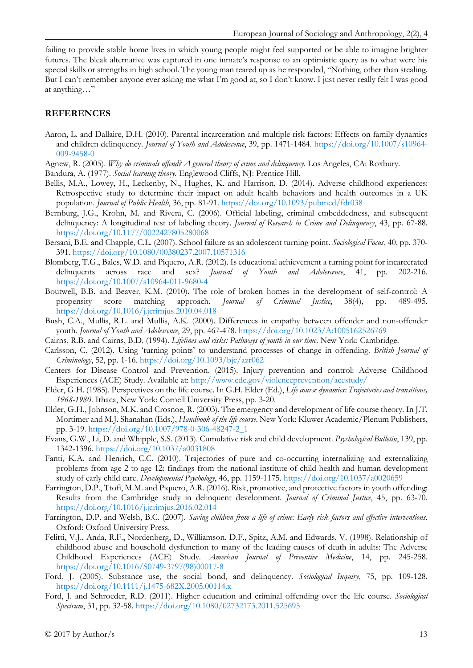failing to provide stable home lives in which young people might feel supported or be able to imagine brighter futures. The bleak alternative was captured in one inmate's response to an optimistic query as to what were his special skills or strengths in high school. The young man teared up as he responded, "Nothing, other than stealing. But I can't remember anyone ever asking me what I'm good at, so I don't know. I just never really felt I was good at anything…"

# **REFERENCES**

- Aaron, L. and Dallaire, D.H. (2010). Parental incarceration and multiple risk factors: Effects on family dynamics and children delinquency. *Journal of Youth and Adolescence*, 39, pp. 1471-1484. [https://doi.org/10.1007/s10964-](https://doi.org/10.1007/s10964-009-9458-0) [009-9458-0](https://doi.org/10.1007/s10964-009-9458-0)
- Agnew, R. (2005). *Why do criminals offend? A general theory of crime and delinquency*. Los Angeles, CA: Roxbury.
- Bandura, A. (1977). *Social learning theory*. Englewood Cliffs, NJ: Prentice Hill.
- Bellis, M.A., Lowey, H., Leckenby, N., Hughes, K. and Harrison, D. (2014). Adverse childhood experiences: Retrospective study to determine their impact on adult health behaviors and health outcomes in a UK population. *Journal of Public Health*, 36, pp. 81-91. <https://doi.org/10.1093/pubmed/fdt038>
- Bernburg, J.G., Krohn, M. and Rivera, C. (2006). Official labeling, criminal embeddedness, and subsequent delinquency: A longitudinal test of labeling theory. *Journal of Research in Crime and Delinquency*, 43, pp. 67-88. <https://doi.org/10.1177/0022427805280068>
- Bersani, B.E. and Chapple, C.L. (2007). School failure as an adolescent turning point. *Sociological Focus*, 40, pp. 370- 391. <https://doi.org/10.1080/00380237.2007.10571316>
- Blomberg, T.G., Bales, W.D. and Piquero, A.R. (2012). Is educational achievement a turning point for incarcerated delinquents across race and sex? *Journal of Youth and Adolescence*, 41, pp. 202-216. <https://doi.org/10.1007/s10964-011-9680-4>
- Boutwell, B.B. and Beaver, K.M. (2010). The role of broken homes in the development of self-control: A propensity score matching approach. *Journal of Criminal Justice*, 38(4), pp. 489-495. <https://doi.org/10.1016/j.jcrimjus.2010.04.018>
- Bush, C.A., Mullis, R.L. and Mullis, A.K. (2000). Differences in empathy between offender and non-offender youth. *Journal of Youth and Adolescence*, 29, pp. 467-478. <https://doi.org/10.1023/A:1005162526769>
- Cairns, R.B. and Cairns, B.D. (1994). *Lifelines and risks: Pathways of youth in our time*. New York: Cambridge.
- Carlsson, C. (2012). Using 'turning points' to understand processes of change in offending. *British Journal of Criminology*, 52, pp. 1-16. <https://doi.org/10.1093/bjc/azr062>
- Centers for Disease Control and Prevention. (2015). Injury prevention and control: Adverse Childhood Experiences (ACE) Study. Available at: <http://www.cdc.gov/violenceprevention/acestudy/>
- Elder, G.H. (1985). Perspectives on the life course. In G.H. Elder (Ed.), *Life course dynamics: Trajectories and transitions, 1968-1980*. Ithaca, New York: Cornell University Press, pp. 3-20.
- Elder, G.H., Johnson, M.K. and Crosnoe, R. (2003). The emergency and development of life course theory. In J.T. Mortimer and M.J. Shanahan (Eds.), *Handbook of the life course*. New York: Kluwer Academic/Plenum Publishers, pp. 3-19. [https://doi.org/10.1007/978-0-306-48247-2\\_1](https://doi.org/10.1007/978-0-306-48247-2_1)
- Evans, G.W., Li, D. and Whipple, S.S. (2013). Cumulative risk and child development. *Psychological Bulletin*, 139, pp. 1342-1396. <https://doi.org/10.1037/a0031808>
- Fanti, K.A. and Henrich, C.C. (2010). Trajectories of pure and co-occurring internalizing and externalizing problems from age 2 to age 12: findings from the national institute of child health and human development study of early child care. *Developmental Psychology*, 46, pp. 1159-1175. <https://doi.org/10.1037/a0020659>
- Farrington, D.P., Ttofi, M.M. and Piquero, A.R. (2016). Risk, promotive, and protective factors in youth offending: Results from the Cambridge study in delinquent development. *Journal of Criminal Justice*, 45, pp. 63-70. <https://doi.org/10.1016/j.jcrimjus.2016.02.014>
- Farrington, D.P. and Welsh, B.C. (2007). *Saving children from a life of crime: Early risk factors and effective interventions.* Oxford: Oxford University Press.
- Felitti, V.J., Anda, R.F., Nordenberg, D., Williamson, D.F., Spitz, A.M. and Edwards, V. (1998). Relationship of childhood abuse and household dysfunction to many of the leading causes of death in adults: The Adverse Childhood Experiences (ACE) Study. *American Journal of Preventive Medicine*, 14, pp. 245-258. [https://doi.org/10.1016/S0749-3797\(98\)00017-8](https://doi.org/10.1016/S0749-3797(98)00017-8)
- Ford, J. (2005). Substance use, the social bond, and delinquency. *Sociological Inquiry*, 75, pp. 109-128. <https://doi.org/10.1111/j.1475-682X.2005.00114.x>
- Ford, J. and Schroeder, R.D. (2011). Higher education and criminal offending over the life course. *Sociological Spectrum*, 31, pp. 32-58. <https://doi.org/10.1080/02732173.2011.525695>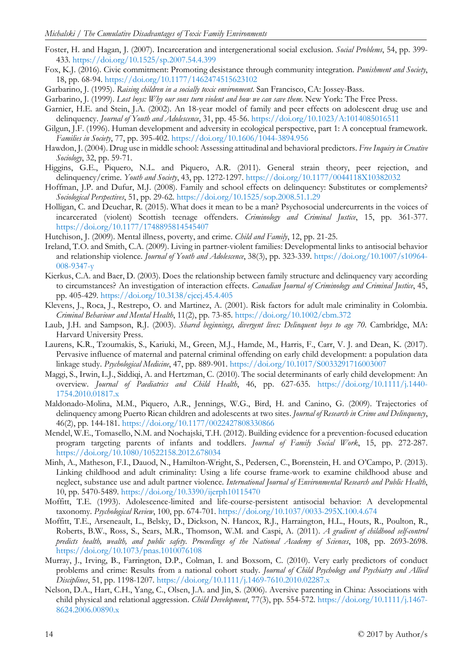- Foster, H. and Hagan, J. (2007). Incarceration and intergenerational social exclusion. *Social Problems*, 54, pp. 399- 433. <https://doi.org/10.1525/sp.2007.54.4.399>
- Fox, K.J. (2016). Civic commitment: Promoting desistance through community integration. *Punishment and Society*, 18, pp. 68-94. <https://doi.org/10.1177/1462474515623102>
- Garbarino, J. (1995). *Raising children in a socially toxic environment*. San Francisco, CA: Jossey-Bass.
- Garbarino, J. (1999). *Lost boys: Why our sons turn violent and how we can save them*. New York: The Free Press.
- Garnier, H.E. and Stein, J.A. (2002). An 18-year model of family and peer effects on adolescent drug use and delinquency. *Journal of Youth and Adolescence*, 31, pp. 45-56. <https://doi.org/10.1023/A:1014085016511>
- Gilgun, J.F. (1996). Human development and adversity in ecological perspective, part 1: A conceptual framework. *Families in Society*, 77, pp. 395-402. <https://doi.org/10.1606/1044-3894.956>
- Hawdon, J. (2004). Drug use in middle school: Assessing attitudinal and behavioral predictors. *Free Inquiry in Creative Sociology*, 32, pp. 59-71.
- Higgins, G.E., Piquero, N.L. and Piquero, A.R. (2011). General strain theory, peer rejection, and delinquency/crime. *Youth and Society*, 43, pp. 1272-1297. <https://doi.org/10.1177/0044118X10382032>
- Hoffman, J.P. and Dufur, M.J. (2008). Family and school effects on delinquency: Substitutes or complements? *Sociological Perspectives*, 51, pp. 29-62. <https://doi.org/10.1525/sop.2008.51.1.29>
- Holligan, C. and Deuchar, R. (2015). What does it mean to be a man? Psychosocial undercurrents in the voices of incarcerated (violent) Scottish teenage offenders. *Criminology and Criminal Justice*, 15, pp. 361-377. <https://doi.org/10.1177/1748895814545407>
- Hutchison, J. (2009). Mental illness, poverty, and crime. *Child and Family*, 12, pp. 21-25.
- Ireland, T.O. and Smith, C.A. (2009). Living in partner-violent families: Developmental links to antisocial behavior and relationship violence. *Journal of Youth and Adolescence*, 38(3), pp. 323-339. [https://doi.org/10.1007/s10964-](https://doi.org/10.1007/s10964-008-9347-y) [008-9347-y](https://doi.org/10.1007/s10964-008-9347-y)
- Kierkus, C.A. and Baer, D. (2003). Does the relationship between family structure and delinquency vary according to circumstances? An investigation of interaction effects. *Canadian Journal of Criminology and Criminal Justice*, 45, pp. 405-429. <https://doi.org/10.3138/cjccj.45.4.405>
- Klevens, J., Roca, J., Restrepo, O. and Martinez, A. (2001). Risk factors for adult male criminality in Colombia. *Criminal Behaviour and Mental Health*, 11(2), pp. 73-85. <https://doi.org/10.1002/cbm.372>
- Laub, J.H. and Sampson, R.J. (2003). *Shared beginnings, divergent lives: Delinquent boys to age 70*. Cambridge, MA: Harvard University Press.
- Laurens, K.R., Tzoumakis, S., Kariuki, M., Green, M.J., Hamde, M., Harris, F., Carr, V. J. and Dean, K. (2017). Pervasive influence of maternal and paternal criminal offending on early child development: a population data linkage study. *Psychological Medicine*, 47, pp. 889-901. <https://doi.org/10.1017/S0033291716003007>
- Maggi, S., Irwin, L.J., Siddiqi, A. and Hertzman, C. (2010). The social determinants of early child development: An overview. *Journal of Paediatrics and Child Health*, 46, pp. 627-635. [https://doi.org/10.1111/j.1440-](https://doi.org/10.1111/j.1440-1754.2010.01817.x) [1754.2010.01817.x](https://doi.org/10.1111/j.1440-1754.2010.01817.x)
- Maldonado-Molina, M.M., Piquero, A.R., Jennings, W.G., Bird, H. and Canino, G. (2009). Trajectories of delinquency among Puerto Rican children and adolescents at two sites. *Journal of Research in Crime and Delinquency*, 46(2), pp. 144-181. <https://doi.org/10.1177/0022427808330866>
- Mendel, W.E., Tomasello, N.M. and Nochajski, T.H. (2012). Building evidence for a prevention-focused education program targeting parents of infants and toddlers. *Journal of Family Social Work*, 15, pp. 272-287. <https://doi.org/10.1080/10522158.2012.678034>
- Minh, A., Matheson, F.I., Dauod, N., Hamilton-Wright, S., Pedersen, C., Borenstein, H. and O'Campo, P. (2013). Linking childhood and adult criminality: Using a life course frame-work to examine childhood abuse and neglect, substance use and adult partner violence. *International Journal of Environmental Research and Public Health*, 10, pp. 5470-5489. <https://doi.org/10.3390/ijerph10115470>
- Moffitt, T.E. (1993). Adolescence-limited and life-course-persistent antisocial behavior: A developmental taxonomy. *Psychological Review*, 100, pp. 674-701. <https://doi.org/10.1037/0033-295X.100.4.674>
- Moffitt, T.E., Arseneault, L., Belsky, D., Dickson, N. Hancox, R.J., Harraington, H.L., Houts, R., Poulton, R., Roberts, B.W., Ross, S., Sears, M.R., Thomson, W.M. and Caspi, A. (2011). *A gradient of childhood self-control predicts health, wealth, and public safety. Proceedings of the National Academy of Sciences*, 108, pp. 2693-2698. <https://doi.org/10.1073/pnas.1010076108>
- Murray, J., Irving, B., Farrington, D.P., Colman, I. and Boxsom, C. (2010). Very early predictors of conduct problems and crime: Results from a national cohort study. *Journal of Child Psychology and Psychiatry and Allied Disciplines*, 51, pp. 1198-1207. <https://doi.org/10.1111/j.1469-7610.2010.02287.x>
- Nelson, D.A., Hart, C.H., Yang, C., Olsen, J.A. and Jin, S. (2006). Aversive parenting in China: Associations with child physical and relational aggression. *Child Development*, 77(3), pp. 554-572. [https://doi.org/10.1111/j.1467-](https://doi.org/10.1111/j.1467-8624.2006.00890.x) [8624.2006.00890.x](https://doi.org/10.1111/j.1467-8624.2006.00890.x)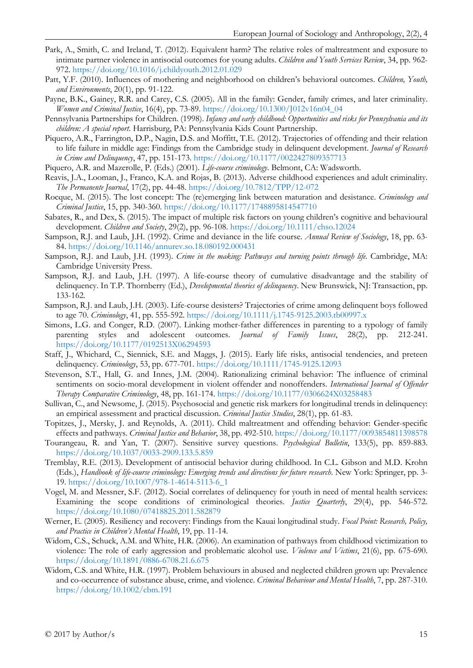- Park, A., Smith, C. and Ireland, T. (2012). Equivalent harm? The relative roles of maltreatment and exposure to intimate partner violence in antisocial outcomes for young adults. *Children and Youth Services Review*, 34, pp. 962- 972. <https://doi.org/10.1016/j.childyouth.2012.01.029>
- Patt, Y.F. (2010). Influences of mothering and neighborhood on children's behavioral outcomes. *Children, Youth, and Environments*, 20(1), pp. 91-122.
- Payne, B.K., Gainey, R.R. and Carey, C.S. (2005). All in the family: Gender, family crimes, and later criminality. *Women and Criminal Justice*, 16(4), pp. 73-89. [https://doi.org/10.1300/J012v16n04\\_04](https://doi.org/10.1300/J012v16n04_04)
- Pennsylvania Partnerships for Children. (1998). *Infancy and early childhood: Opportunities and risks for Pennsylvania and its children: A special report*. Harrisburg, PA: Pennsylvania Kids Count Partnership.
- Piquero, A.R., Farrington, D.P., Nagin, D.S. and Moffitt, T.E. (2012). Trajectories of offending and their relation to life failure in middle age: Findings from the Cambridge study in delinquent development. *Journal of Research in Crime and Delinquency*, 47, pp. 151-173. <https://doi.org/10.1177/0022427809357713>
- Piquero, A.R. and Mazerolle, P. (Eds.) (2001). *Life-course criminology*. Belmont, CA: Wadsworth.
- Reavis, J.A., Looman, J., Franco, K.A. and Rojas, B. (2013). Adverse childhood experiences and adult criminality. *The Permanente Journal*, 17(2), pp. 44-48. <https://doi.org/10.7812/TPP/12-072>
- Rocque, M. (2015). The lost concept: The (re)emerging link between maturation and desistance. *Criminology and Criminal Justice*, 15, pp. 340-360. <https://doi.org/10.1177/1748895814547710>
- Sabates, R., and Dex, S. (2015). The impact of multiple risk factors on young children's cognitive and behavioural development. *Children and Society*, 29(2), pp. 96-108. <https://doi.org/10.1111/chso.12024>
- Sampson, R.J. and Laub, J.H. (1992). Crime and deviance in the life course. *Annual Review of Sociology*, 18, pp. 63- 84. <https://doi.org/10.1146/annurev.so.18.080192.000431>
- Sampson, R.J. and Laub, J.H. (1993). *Crime in the making: Pathways and turning points through life.* Cambridge, MA: Cambridge University Press.
- Sampson, R.J. and Laub, J.H. (1997). A life-course theory of cumulative disadvantage and the stability of delinquency. In T.P. Thornberry (Ed.), *Developmental theories of delinquency*. New Brunswick, NJ: Transaction, pp. 133-162.
- Sampson, R.J. and Laub, J.H. (2003). Life-course desisters? Trajectories of crime among delinquent boys followed to age 70. *Criminology*, 41, pp. 555-592. <https://doi.org/10.1111/j.1745-9125.2003.tb00997.x>
- Simons, L.G. and Conger, R.D. (2007). Linking mother-father differences in parenting to a typology of family parenting styles and adolescent outcomes. *Journal of Family Issues*, 28(2), pp. 212-241. <https://doi.org/10.1177/0192513X06294593>
- Staff, J., Whichard, C., Siennick, S.E. and Maggs, J. (2015). Early life risks, antisocial tendencies, and preteen delinquency. *Criminology*, 53, pp. 677-701. <https://doi.org/10.1111/1745-9125.12093>
- Stevenson, S.T., Hall, G. and Innes, J.M. (2004). Rationalizing criminal behavior: The influence of criminal sentiments on socio-moral development in violent offender and nonoffenders. *International Journal of Offender Therapy Comparative Criminology*, 48, pp. 161-174. <https://doi.org/10.1177/0306624X03258483>
- Sullivan, C., and Newsome, J. (2015). Psychosocial and genetic risk markers for longitudinal trends in delinquency: an empirical assessment and practical discussion. *Criminal Justice Studies*, 28(1), pp. 61-83.
- Topitzes, J., Mersky, J. and Reynolds, A. (2011). Child maltreatment and offending behavior: Gender-specific effects and pathways. *Criminal Justice and Behavior*, 38, pp. 492-510. <https://doi.org/10.1177/0093854811398578>
- Tourangeau, R. and Yan, T. (2007). Sensitive survey questions. *Psychological Bulletin*, 133(5), pp. 859-883. <https://doi.org/10.1037/0033-2909.133.5.859>
- Tremblay, R.E. (2013). Development of antisocial behavior during childhood. In C.L. Gibson and M.D. Krohn (Eds.), *Handbook of life-course criminology: Emerging trends and directions for future research*. New York: Springer, pp. 3- 19. [https://doi.org/10.1007/978-1-4614-5113-6\\_1](https://doi.org/10.1007/978-1-4614-5113-6_1)
- Vogel, M. and Messner, S.F. (2012). Social correlates of delinquency for youth in need of mental health services: Examining the scope conditions of criminological theories. *Justice Quarterly*, 29(4), pp. 546-572. <https://doi.org/10.1080/07418825.2011.582879>
- Werner, E. (2005). Resiliency and recovery: Findings from the Kauai longitudinal study. *Focal Point: Research, Policy, and Practice in Children's Mental Health*, 19, pp. 11-14.
- Widom, C.S., Schuck, A.M. and White, H.R. (2006). An examination of pathways from childhood victimization to violence: The role of early aggression and problematic alcohol use. *Violence and Victims*, 21(6), pp. 675-690. <https://doi.org/10.1891/0886-6708.21.6.675>
- Widom, C.S. and White, H.R. (1997). Problem behaviours in abused and neglected children grown up: Prevalence and co-occurrence of substance abuse, crime, and violence. *Criminal Behaviour and Mental Health*, 7, pp. 287-310. <https://doi.org/10.1002/cbm.191>